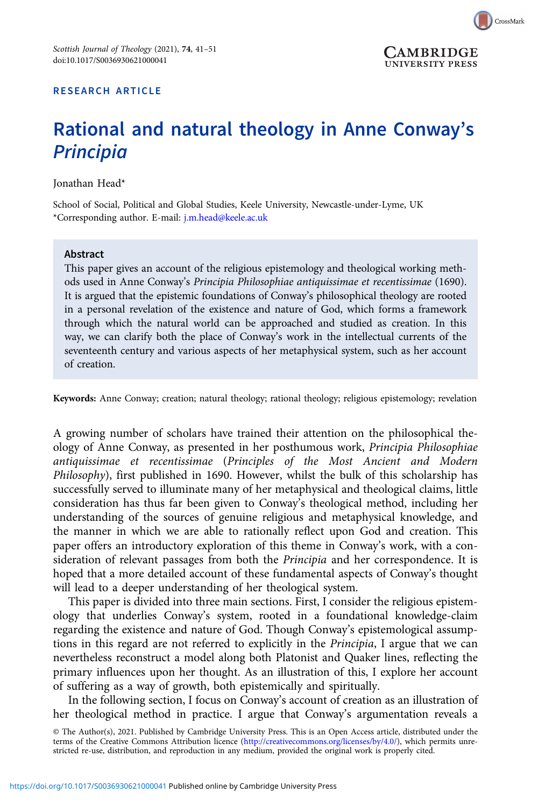

#### RESEARCH ARTICLE

# Rational and natural theology in Anne Conway's Principia

Jonathan Head\*

School of Social, Political and Global Studies, Keele University, Newcastle-under-Lyme, UK \*Corresponding author. E-mail: [j.m.head@keele.ac.uk](mailto:j.m.head@keele.ac.uk)

#### Abstract

This paper gives an account of the religious epistemology and theological working methods used in Anne Conway's Principia Philosophiae antiquissimae et recentissimae (1690). It is argued that the epistemic foundations of Conway's philosophical theology are rooted in a personal revelation of the existence and nature of God, which forms a framework through which the natural world can be approached and studied as creation. In this way, we can clarify both the place of Conway's work in the intellectual currents of the seventeenth century and various aspects of her metaphysical system, such as her account of creation.

Keywords: Anne Conway; creation; natural theology; rational theology; religious epistemology; revelation

A growing number of scholars have trained their attention on the philosophical theology of Anne Conway, as presented in her posthumous work, Principia Philosophiae antiquissimae et recentissimae (Principles of the Most Ancient and Modern Philosophy), first published in 1690. However, whilst the bulk of this scholarship has successfully served to illuminate many of her metaphysical and theological claims, little consideration has thus far been given to Conway's theological method, including her understanding of the sources of genuine religious and metaphysical knowledge, and the manner in which we are able to rationally reflect upon God and creation. This paper offers an introductory exploration of this theme in Conway's work, with a consideration of relevant passages from both the Principia and her correspondence. It is hoped that a more detailed account of these fundamental aspects of Conway's thought will lead to a deeper understanding of her theological system.

This paper is divided into three main sections. First, I consider the religious epistemology that underlies Conway's system, rooted in a foundational knowledge-claim regarding the existence and nature of God. Though Conway's epistemological assumptions in this regard are not referred to explicitly in the Principia, I argue that we can nevertheless reconstruct a model along both Platonist and Quaker lines, reflecting the primary influences upon her thought. As an illustration of this, I explore her account of suffering as a way of growth, both epistemically and spiritually.

In the following section, I focus on Conway's account of creation as an illustration of her theological method in practice. I argue that Conway's argumentation reveals a

© The Author(s), 2021. Published by Cambridge University Press. This is an Open Access article, distributed under the<br>terms of the Creative Commons Attribution licence [\(http://creativecommons.org/licenses/by/4.0/\)](http://creativecommons.org/licenses/by/4.0/), which p stricted re-use, distribution, and reproduction in any medium, provided the original work is properly cited.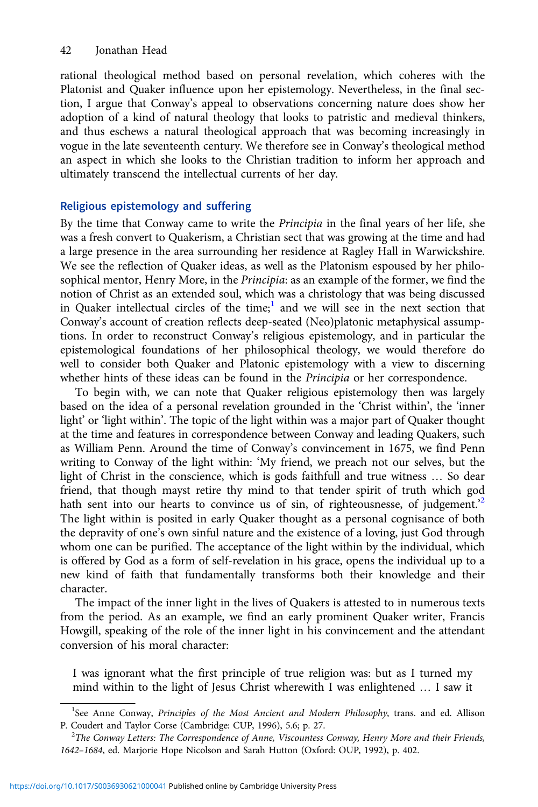rational theological method based on personal revelation, which coheres with the Platonist and Quaker influence upon her epistemology. Nevertheless, in the final section, I argue that Conway's appeal to observations concerning nature does show her adoption of a kind of natural theology that looks to patristic and medieval thinkers, and thus eschews a natural theological approach that was becoming increasingly in vogue in the late seventeenth century. We therefore see in Conway's theological method an aspect in which she looks to the Christian tradition to inform her approach and ultimately transcend the intellectual currents of her day.

## Religious epistemology and suffering

By the time that Conway came to write the Principia in the final years of her life, she was a fresh convert to Quakerism, a Christian sect that was growing at the time and had a large presence in the area surrounding her residence at Ragley Hall in Warwickshire. We see the reflection of Quaker ideas, as well as the Platonism espoused by her philosophical mentor, Henry More, in the Principia: as an example of the former, we find the notion of Christ as an extended soul, which was a christology that was being discussed in Quaker intellectual circles of the time;<sup>1</sup> and we will see in the next section that Conway's account of creation reflects deep-seated (Neo)platonic metaphysical assumptions. In order to reconstruct Conway's religious epistemology, and in particular the epistemological foundations of her philosophical theology, we would therefore do well to consider both Quaker and Platonic epistemology with a view to discerning whether hints of these ideas can be found in the Principia or her correspondence.

To begin with, we can note that Quaker religious epistemology then was largely based on the idea of a personal revelation grounded in the 'Christ within', the 'inner light' or 'light within'. The topic of the light within was a major part of Quaker thought at the time and features in correspondence between Conway and leading Quakers, such as William Penn. Around the time of Conway's convincement in 1675, we find Penn writing to Conway of the light within: 'My friend, we preach not our selves, but the light of Christ in the conscience, which is gods faithfull and true witness … So dear friend, that though mayst retire thy mind to that tender spirit of truth which god hath sent into our hearts to convince us of sin, of righteousnesse, of judgement.<sup>2</sup> The light within is posited in early Quaker thought as a personal cognisance of both the depravity of one's own sinful nature and the existence of a loving, just God through whom one can be purified. The acceptance of the light within by the individual, which is offered by God as a form of self-revelation in his grace, opens the individual up to a new kind of faith that fundamentally transforms both their knowledge and their character.

The impact of the inner light in the lives of Quakers is attested to in numerous texts from the period. As an example, we find an early prominent Quaker writer, Francis Howgill, speaking of the role of the inner light in his convincement and the attendant conversion of his moral character:

I was ignorant what the first principle of true religion was: but as I turned my mind within to the light of Jesus Christ wherewith I was enlightened … I saw it

<sup>&</sup>lt;sup>1</sup>See Anne Conway, Principles of the Most Ancient and Modern Philosophy, trans. and ed. Allison P. Coudert and Taylor Corse (Cambridge: CUP, 1996), 5.6; p. 27.

 $T^2$ The Conway Letters: The Correspondence of Anne, Viscountess Conway, Henry More and their Friends, 1642–1684, ed. Marjorie Hope Nicolson and Sarah Hutton (Oxford: OUP, 1992), p. 402.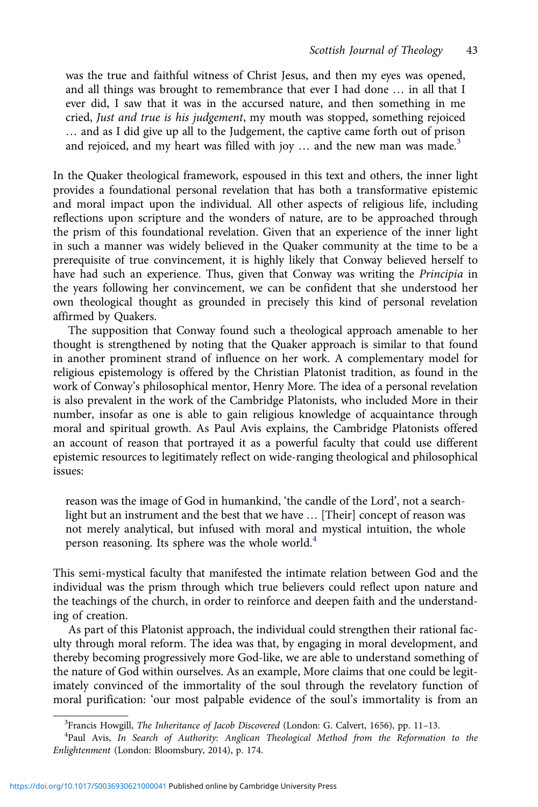was the true and faithful witness of Christ Jesus, and then my eyes was opened, and all things was brought to remembrance that ever I had done … in all that I ever did, I saw that it was in the accursed nature, and then something in me cried, Just and true is his judgement, my mouth was stopped, something rejoiced … and as I did give up all to the Judgement, the captive came forth out of prison and rejoiced, and my heart was filled with joy  $\ldots$  and the new man was made.<sup>3</sup>

In the Quaker theological framework, espoused in this text and others, the inner light provides a foundational personal revelation that has both a transformative epistemic and moral impact upon the individual. All other aspects of religious life, including reflections upon scripture and the wonders of nature, are to be approached through the prism of this foundational revelation. Given that an experience of the inner light in such a manner was widely believed in the Quaker community at the time to be a prerequisite of true convincement, it is highly likely that Conway believed herself to have had such an experience. Thus, given that Conway was writing the Principia in the years following her convincement, we can be confident that she understood her own theological thought as grounded in precisely this kind of personal revelation affirmed by Quakers.

The supposition that Conway found such a theological approach amenable to her thought is strengthened by noting that the Quaker approach is similar to that found in another prominent strand of influence on her work. A complementary model for religious epistemology is offered by the Christian Platonist tradition, as found in the work of Conway's philosophical mentor, Henry More. The idea of a personal revelation is also prevalent in the work of the Cambridge Platonists, who included More in their number, insofar as one is able to gain religious knowledge of acquaintance through moral and spiritual growth. As Paul Avis explains, the Cambridge Platonists offered an account of reason that portrayed it as a powerful faculty that could use different epistemic resources to legitimately reflect on wide-ranging theological and philosophical issues:

reason was the image of God in humankind, 'the candle of the Lord', not a searchlight but an instrument and the best that we have … [Their] concept of reason was not merely analytical, but infused with moral and mystical intuition, the whole person reasoning. Its sphere was the whole world.<sup>4</sup>

This semi-mystical faculty that manifested the intimate relation between God and the individual was the prism through which true believers could reflect upon nature and the teachings of the church, in order to reinforce and deepen faith and the understanding of creation.

As part of this Platonist approach, the individual could strengthen their rational faculty through moral reform. The idea was that, by engaging in moral development, and thereby becoming progressively more God-like, we are able to understand something of the nature of God within ourselves. As an example, More claims that one could be legitimately convinced of the immortality of the soul through the revelatory function of moral purification: 'our most palpable evidence of the soul's immortality is from an

<sup>&</sup>lt;sup>3</sup> Francis Howgill, *The Inheritance of Jacob Discovered* (London: G. Calvert, 1656), pp. 11–13.<br><sup>4</sup> Paul Avis In Search of Authority: Anglican Theological Method from the Reformatio

<sup>&</sup>lt;sup>4</sup>Paul Avis, In Search of Authority: Anglican Theological Method from the Reformation to the Enlightenment (London: Bloomsbury, 2014), p. 174.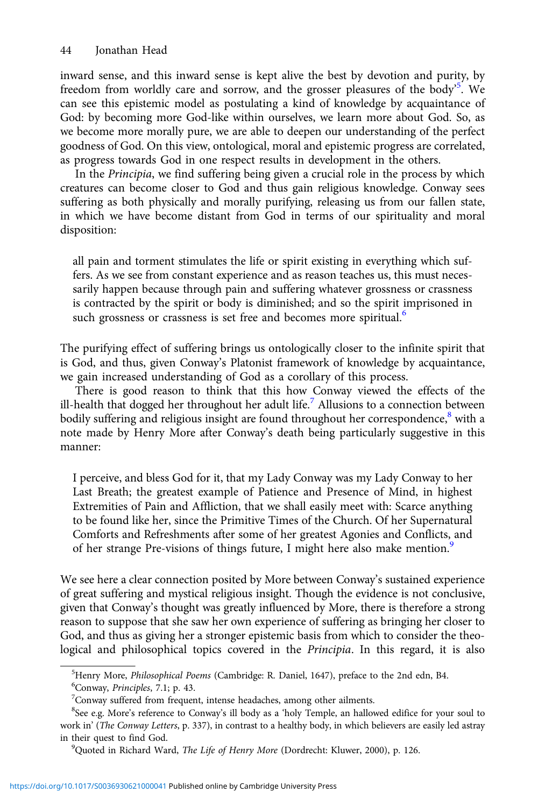inward sense, and this inward sense is kept alive the best by devotion and purity, by freedom from worldly care and sorrow, and the grosser pleasures of the body<sup>5</sup>. We can see this epistemic model as postulating a kind of knowledge by acquaintance of God: by becoming more God-like within ourselves, we learn more about God. So, as we become more morally pure, we are able to deepen our understanding of the perfect goodness of God. On this view, ontological, moral and epistemic progress are correlated, as progress towards God in one respect results in development in the others.

In the Principia, we find suffering being given a crucial role in the process by which creatures can become closer to God and thus gain religious knowledge. Conway sees suffering as both physically and morally purifying, releasing us from our fallen state, in which we have become distant from God in terms of our spirituality and moral disposition:

all pain and torment stimulates the life or spirit existing in everything which suffers. As we see from constant experience and as reason teaches us, this must necessarily happen because through pain and suffering whatever grossness or crassness is contracted by the spirit or body is diminished; and so the spirit imprisoned in such grossness or crassness is set free and becomes more spiritual.<sup>6</sup>

The purifying effect of suffering brings us ontologically closer to the infinite spirit that is God, and thus, given Conway's Platonist framework of knowledge by acquaintance, we gain increased understanding of God as a corollary of this process.

There is good reason to think that this how Conway viewed the effects of the ill-health that dogged her throughout her adult life.<sup>7</sup> Allusions to a connection between bodily suffering and religious insight are found throughout her correspondence,<sup>8</sup> with a note made by Henry More after Conway's death being particularly suggestive in this manner:

I perceive, and bless God for it, that my Lady Conway was my Lady Conway to her Last Breath; the greatest example of Patience and Presence of Mind, in highest Extremities of Pain and Affliction, that we shall easily meet with: Scarce anything to be found like her, since the Primitive Times of the Church. Of her Supernatural Comforts and Refreshments after some of her greatest Agonies and Conflicts, and of her strange Pre-visions of things future, I might here also make mention.<sup>9</sup>

We see here a clear connection posited by More between Conway's sustained experience of great suffering and mystical religious insight. Though the evidence is not conclusive, given that Conway's thought was greatly influenced by More, there is therefore a strong reason to suppose that she saw her own experience of suffering as bringing her closer to God, and thus as giving her a stronger epistemic basis from which to consider the theological and philosophical topics covered in the Principia. In this regard, it is also

 ${}^{5}$ Henry More, *Philosophical Poems* (Cambridge: R. Daniel, 1647), preface to the 2nd edn, B4.<br> ${}^{6}$ Conyay, *Principles*, 7.1; p. 43.

 ${}^{6}$ Conway, *Principles*, 7.1; p. 43.

<sup>&</sup>lt;sup>7</sup> Conway suffered from frequent, intense headaches, among other ailments.

<sup>&</sup>lt;sup>8</sup>See e.g. More's reference to Conway's ill body as a 'holy Temple, an hallowed edifice for your soul to work in' (The Conway Letters, p. 337), in contrast to a healthy body, in which believers are easily led astray in their quest to find God.

<sup>&</sup>lt;sup>9</sup>Quoted in Richard Ward, *The Life of Henry More* (Dordrecht: Kluwer, 2000), p. 126.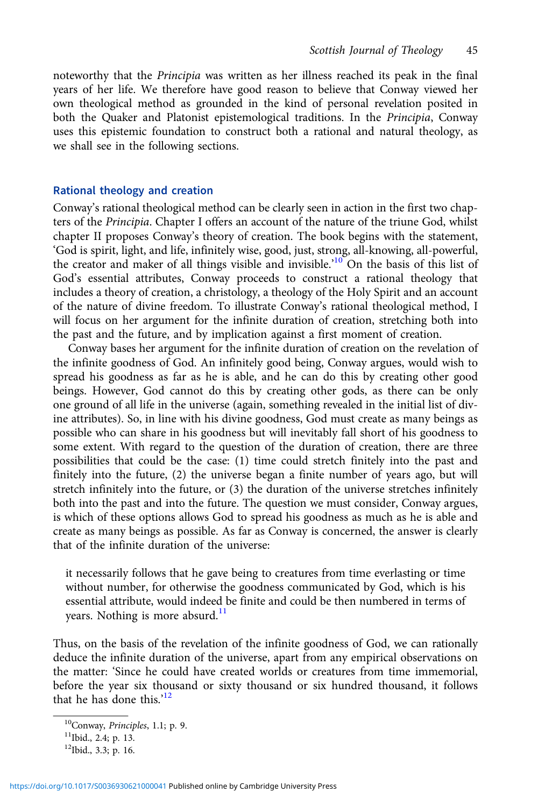noteworthy that the Principia was written as her illness reached its peak in the final years of her life. We therefore have good reason to believe that Conway viewed her own theological method as grounded in the kind of personal revelation posited in both the Quaker and Platonist epistemological traditions. In the Principia, Conway uses this epistemic foundation to construct both a rational and natural theology, as we shall see in the following sections.

#### Rational theology and creation

Conway's rational theological method can be clearly seen in action in the first two chapters of the Principia. Chapter I offers an account of the nature of the triune God, whilst chapter II proposes Conway's theory of creation. The book begins with the statement, 'God is spirit, light, and life, infinitely wise, good, just, strong, all-knowing, all-powerful, the creator and maker of all things visible and invisible.<sup>10</sup> On the basis of this list of God's essential attributes, Conway proceeds to construct a rational theology that includes a theory of creation, a christology, a theology of the Holy Spirit and an account of the nature of divine freedom. To illustrate Conway's rational theological method, I will focus on her argument for the infinite duration of creation, stretching both into the past and the future, and by implication against a first moment of creation.

Conway bases her argument for the infinite duration of creation on the revelation of the infinite goodness of God. An infinitely good being, Conway argues, would wish to spread his goodness as far as he is able, and he can do this by creating other good beings. However, God cannot do this by creating other gods, as there can be only one ground of all life in the universe (again, something revealed in the initial list of divine attributes). So, in line with his divine goodness, God must create as many beings as possible who can share in his goodness but will inevitably fall short of his goodness to some extent. With regard to the question of the duration of creation, there are three possibilities that could be the case: (1) time could stretch finitely into the past and finitely into the future, (2) the universe began a finite number of years ago, but will stretch infinitely into the future, or (3) the duration of the universe stretches infinitely both into the past and into the future. The question we must consider, Conway argues, is which of these options allows God to spread his goodness as much as he is able and create as many beings as possible. As far as Conway is concerned, the answer is clearly that of the infinite duration of the universe:

it necessarily follows that he gave being to creatures from time everlasting or time without number, for otherwise the goodness communicated by God, which is his essential attribute, would indeed be finite and could be then numbered in terms of years. Nothing is more absurd. $11$ 

Thus, on the basis of the revelation of the infinite goodness of God, we can rationally deduce the infinite duration of the universe, apart from any empirical observations on the matter: 'Since he could have created worlds or creatures from time immemorial, before the year six thousand or sixty thousand or six hundred thousand, it follows that he has done this.'<sup>12</sup>

<sup>&</sup>lt;sup>10</sup>Conway, *Principles*, 1.1; p. 9.<br><sup>11</sup>Ibid., 2.4; p. 13.

<sup>12</sup>Ibid., 3.3; p. 16.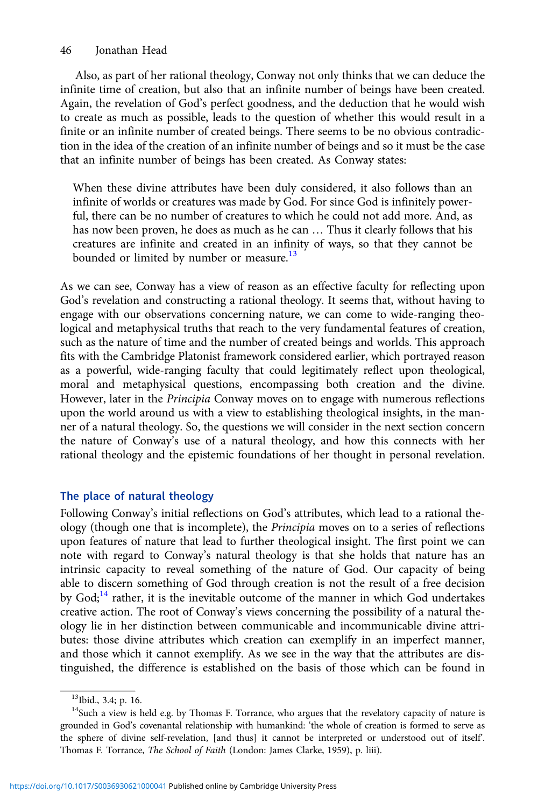Also, as part of her rational theology, Conway not only thinks that we can deduce the infinite time of creation, but also that an infinite number of beings have been created. Again, the revelation of God's perfect goodness, and the deduction that he would wish to create as much as possible, leads to the question of whether this would result in a finite or an infinite number of created beings. There seems to be no obvious contradiction in the idea of the creation of an infinite number of beings and so it must be the case that an infinite number of beings has been created. As Conway states:

When these divine attributes have been duly considered, it also follows than an infinite of worlds or creatures was made by God. For since God is infinitely powerful, there can be no number of creatures to which he could not add more. And, as has now been proven, he does as much as he can … Thus it clearly follows that his creatures are infinite and created in an infinity of ways, so that they cannot be bounded or limited by number or measure.<sup>13</sup>

As we can see, Conway has a view of reason as an effective faculty for reflecting upon God's revelation and constructing a rational theology. It seems that, without having to engage with our observations concerning nature, we can come to wide-ranging theological and metaphysical truths that reach to the very fundamental features of creation, such as the nature of time and the number of created beings and worlds. This approach fits with the Cambridge Platonist framework considered earlier, which portrayed reason as a powerful, wide-ranging faculty that could legitimately reflect upon theological, moral and metaphysical questions, encompassing both creation and the divine. However, later in the Principia Conway moves on to engage with numerous reflections upon the world around us with a view to establishing theological insights, in the manner of a natural theology. So, the questions we will consider in the next section concern the nature of Conway's use of a natural theology, and how this connects with her rational theology and the epistemic foundations of her thought in personal revelation.

# The place of natural theology

Following Conway's initial reflections on God's attributes, which lead to a rational theology (though one that is incomplete), the Principia moves on to a series of reflections upon features of nature that lead to further theological insight. The first point we can note with regard to Conway's natural theology is that she holds that nature has an intrinsic capacity to reveal something of the nature of God. Our capacity of being able to discern something of God through creation is not the result of a free decision by  $God; <sup>14</sup>$  rather, it is the inevitable outcome of the manner in which God undertakes creative action. The root of Conway's views concerning the possibility of a natural theology lie in her distinction between communicable and incommunicable divine attributes: those divine attributes which creation can exemplify in an imperfect manner, and those which it cannot exemplify. As we see in the way that the attributes are distinguished, the difference is established on the basis of those which can be found in

<sup>13</sup>Ibid., 3.4; p. 16.

<sup>&</sup>lt;sup>14</sup>Such a view is held e.g. by Thomas F. Torrance, who argues that the revelatory capacity of nature is grounded in God's covenantal relationship with humankind: 'the whole of creation is formed to serve as the sphere of divine self-revelation, [and thus] it cannot be interpreted or understood out of itself'. Thomas F. Torrance, The School of Faith (London: James Clarke, 1959), p. liii).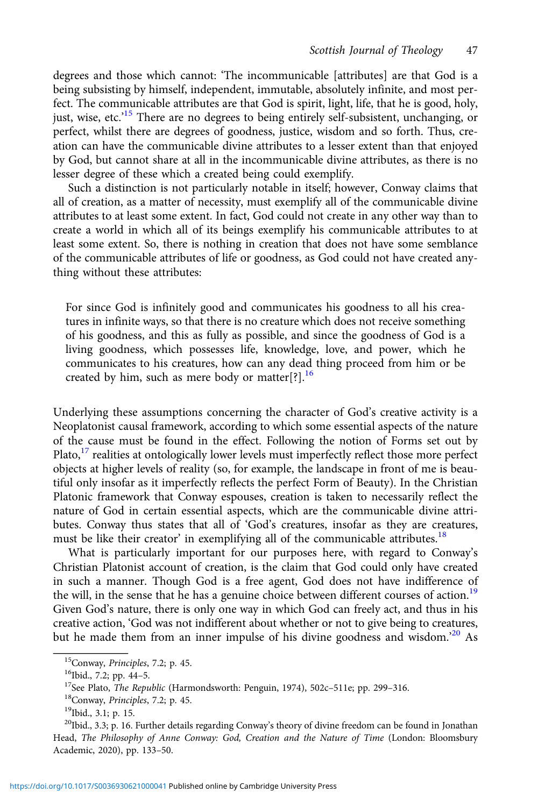degrees and those which cannot: 'The incommunicable [attributes] are that God is a being subsisting by himself, independent, immutable, absolutely infinite, and most perfect. The communicable attributes are that God is spirit, light, life, that he is good, holy, just, wise, etc.<sup>15</sup> There are no degrees to being entirely self-subsistent, unchanging, or perfect, whilst there are degrees of goodness, justice, wisdom and so forth. Thus, creation can have the communicable divine attributes to a lesser extent than that enjoyed by God, but cannot share at all in the incommunicable divine attributes, as there is no lesser degree of these which a created being could exemplify.

Such a distinction is not particularly notable in itself; however, Conway claims that all of creation, as a matter of necessity, must exemplify all of the communicable divine attributes to at least some extent. In fact, God could not create in any other way than to create a world in which all of its beings exemplify his communicable attributes to at least some extent. So, there is nothing in creation that does not have some semblance of the communicable attributes of life or goodness, as God could not have created anything without these attributes:

For since God is infinitely good and communicates his goodness to all his creatures in infinite ways, so that there is no creature which does not receive something of his goodness, and this as fully as possible, and since the goodness of God is a living goodness, which possesses life, knowledge, love, and power, which he communicates to his creatures, how can any dead thing proceed from him or be created by him, such as mere body or matter[?]. $^{16}$ 

Underlying these assumptions concerning the character of God's creative activity is a Neoplatonist causal framework, according to which some essential aspects of the nature of the cause must be found in the effect. Following the notion of Forms set out by Plato, $17$  realities at ontologically lower levels must imperfectly reflect those more perfect objects at higher levels of reality (so, for example, the landscape in front of me is beautiful only insofar as it imperfectly reflects the perfect Form of Beauty). In the Christian Platonic framework that Conway espouses, creation is taken to necessarily reflect the nature of God in certain essential aspects, which are the communicable divine attributes. Conway thus states that all of 'God's creatures, insofar as they are creatures, must be like their creator' in exemplifying all of the communicable attributes.<sup>18</sup>

What is particularly important for our purposes here, with regard to Conway's Christian Platonist account of creation, is the claim that God could only have created in such a manner. Though God is a free agent, God does not have indifference of the will, in the sense that he has a genuine choice between different courses of action.<sup>19</sup> Given God's nature, there is only one way in which God can freely act, and thus in his creative action, 'God was not indifferent about whether or not to give being to creatures, but he made them from an inner impulse of his divine goodness and wisdom.<sup>20</sup> As

<sup>&</sup>lt;sup>15</sup>Conway, *Principles*, 7.2; p. 45.<br><sup>16</sup>Ibid., 7.2; pp. 44–5.<br><sup>17</sup>See Plato, *The Republic* (Harmondsworth: Penguin, 1974), 502c–511e; pp. 299–316.<br><sup>18</sup>Conway, *Principles*, 7.2; p. 45. <sup>19</sup>Ibid., 3.1; p. 15.

 $^{20}$ Ibid., 3.3; p. 16. Further details regarding Conway's theory of divine freedom can be found in Jonathan Head, The Philosophy of Anne Conway: God, Creation and the Nature of Time (London: Bloomsbury Academic, 2020), pp. 133–50.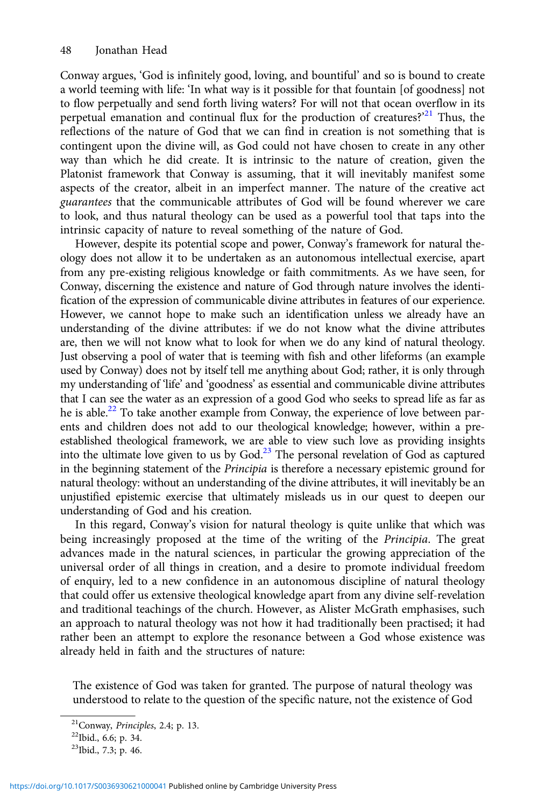Conway argues, 'God is infinitely good, loving, and bountiful' and so is bound to create a world teeming with life: 'In what way is it possible for that fountain [of goodness] not to flow perpetually and send forth living waters? For will not that ocean overflow in its perpetual emanation and continual flux for the production of creatures?<sup>21</sup> Thus, the reflections of the nature of God that we can find in creation is not something that is contingent upon the divine will, as God could not have chosen to create in any other way than which he did create. It is intrinsic to the nature of creation, given the Platonist framework that Conway is assuming, that it will inevitably manifest some aspects of the creator, albeit in an imperfect manner. The nature of the creative act guarantees that the communicable attributes of God will be found wherever we care to look, and thus natural theology can be used as a powerful tool that taps into the intrinsic capacity of nature to reveal something of the nature of God.

However, despite its potential scope and power, Conway's framework for natural theology does not allow it to be undertaken as an autonomous intellectual exercise, apart from any pre-existing religious knowledge or faith commitments. As we have seen, for Conway, discerning the existence and nature of God through nature involves the identification of the expression of communicable divine attributes in features of our experience. However, we cannot hope to make such an identification unless we already have an understanding of the divine attributes: if we do not know what the divine attributes are, then we will not know what to look for when we do any kind of natural theology. Just observing a pool of water that is teeming with fish and other lifeforms (an example used by Conway) does not by itself tell me anything about God; rather, it is only through my understanding of 'life' and 'goodness' as essential and communicable divine attributes that I can see the water as an expression of a good God who seeks to spread life as far as he is able.<sup>22</sup> To take another example from Conway, the experience of love between parents and children does not add to our theological knowledge; however, within a preestablished theological framework, we are able to view such love as providing insights into the ultimate love given to us by God.23 The personal revelation of God as captured in the beginning statement of the Principia is therefore a necessary epistemic ground for natural theology: without an understanding of the divine attributes, it will inevitably be an unjustified epistemic exercise that ultimately misleads us in our quest to deepen our understanding of God and his creation.

In this regard, Conway's vision for natural theology is quite unlike that which was being increasingly proposed at the time of the writing of the Principia. The great advances made in the natural sciences, in particular the growing appreciation of the universal order of all things in creation, and a desire to promote individual freedom of enquiry, led to a new confidence in an autonomous discipline of natural theology that could offer us extensive theological knowledge apart from any divine self-revelation and traditional teachings of the church. However, as Alister McGrath emphasises, such an approach to natural theology was not how it had traditionally been practised; it had rather been an attempt to explore the resonance between a God whose existence was already held in faith and the structures of nature:

The existence of God was taken for granted. The purpose of natural theology was understood to relate to the question of the specific nature, not the existence of God

<sup>&</sup>lt;sup>21</sup>Conway, *Principles*, 2.4; p. 13.<br><sup>22</sup>Ibid., 6.6; p. 34.

<sup>&</sup>lt;sup>23</sup>Ibid., 7.3; p. 46.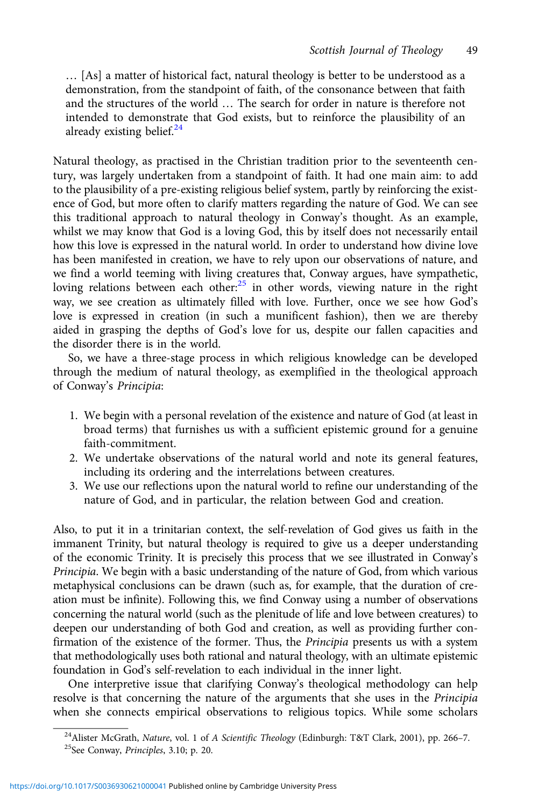… [As] a matter of historical fact, natural theology is better to be understood as a demonstration, from the standpoint of faith, of the consonance between that faith and the structures of the world … The search for order in nature is therefore not intended to demonstrate that God exists, but to reinforce the plausibility of an already existing belief.<sup>24</sup>

Natural theology, as practised in the Christian tradition prior to the seventeenth century, was largely undertaken from a standpoint of faith. It had one main aim: to add to the plausibility of a pre-existing religious belief system, partly by reinforcing the existence of God, but more often to clarify matters regarding the nature of God. We can see this traditional approach to natural theology in Conway's thought. As an example, whilst we may know that God is a loving God, this by itself does not necessarily entail how this love is expressed in the natural world. In order to understand how divine love has been manifested in creation, we have to rely upon our observations of nature, and we find a world teeming with living creatures that, Conway argues, have sympathetic, loving relations between each other: $25$  in other words, viewing nature in the right way, we see creation as ultimately filled with love. Further, once we see how God's love is expressed in creation (in such a munificent fashion), then we are thereby aided in grasping the depths of God's love for us, despite our fallen capacities and the disorder there is in the world.

So, we have a three-stage process in which religious knowledge can be developed through the medium of natural theology, as exemplified in the theological approach of Conway's Principia:

- 1. We begin with a personal revelation of the existence and nature of God (at least in broad terms) that furnishes us with a sufficient epistemic ground for a genuine faith-commitment.
- 2. We undertake observations of the natural world and note its general features, including its ordering and the interrelations between creatures.
- 3. We use our reflections upon the natural world to refine our understanding of the nature of God, and in particular, the relation between God and creation.

Also, to put it in a trinitarian context, the self-revelation of God gives us faith in the immanent Trinity, but natural theology is required to give us a deeper understanding of the economic Trinity. It is precisely this process that we see illustrated in Conway's Principia. We begin with a basic understanding of the nature of God, from which various metaphysical conclusions can be drawn (such as, for example, that the duration of creation must be infinite). Following this, we find Conway using a number of observations concerning the natural world (such as the plenitude of life and love between creatures) to deepen our understanding of both God and creation, as well as providing further confirmation of the existence of the former. Thus, the Principia presents us with a system that methodologically uses both rational and natural theology, with an ultimate epistemic foundation in God's self-revelation to each individual in the inner light.

One interpretive issue that clarifying Conway's theological methodology can help resolve is that concerning the nature of the arguments that she uses in the Principia when she connects empirical observations to religious topics. While some scholars

<sup>&</sup>lt;sup>24</sup>Alister McGrath, Nature, vol. 1 of A Scientific Theology (Edinburgh: T&T Clark, 2001), pp. 266–7.<br><sup>25</sup>See Conway, Principles, 3.10; p. 20.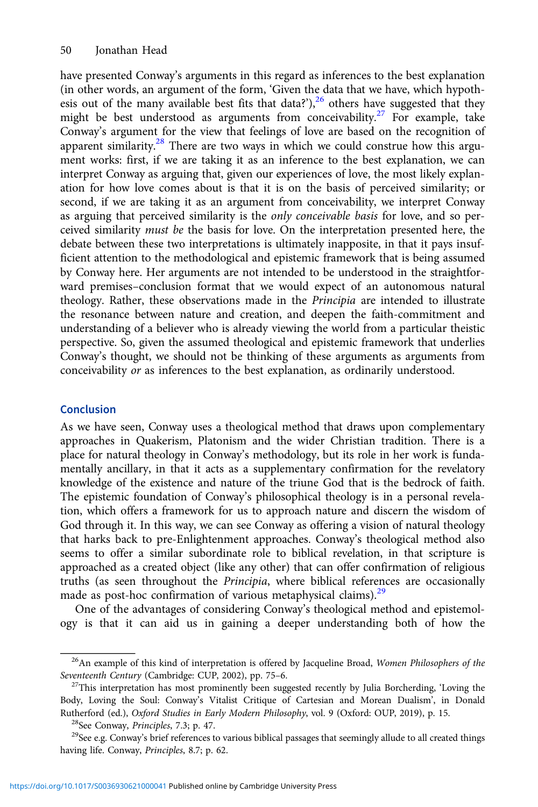have presented Conway's arguments in this regard as inferences to the best explanation (in other words, an argument of the form, 'Given the data that we have, which hypothesis out of the many available best fits that data?'),<sup>26</sup> others have suggested that they might be best understood as arguments from conceivability.<sup>27</sup> For example, take Conway's argument for the view that feelings of love are based on the recognition of apparent similarity.<sup>28</sup> There are two ways in which we could construe how this argument works: first, if we are taking it as an inference to the best explanation, we can interpret Conway as arguing that, given our experiences of love, the most likely explanation for how love comes about is that it is on the basis of perceived similarity; or second, if we are taking it as an argument from conceivability, we interpret Conway as arguing that perceived similarity is the only conceivable basis for love, and so perceived similarity must be the basis for love. On the interpretation presented here, the debate between these two interpretations is ultimately inapposite, in that it pays insufficient attention to the methodological and epistemic framework that is being assumed by Conway here. Her arguments are not intended to be understood in the straightforward premises–conclusion format that we would expect of an autonomous natural theology. Rather, these observations made in the Principia are intended to illustrate the resonance between nature and creation, and deepen the faith-commitment and understanding of a believer who is already viewing the world from a particular theistic perspective. So, given the assumed theological and epistemic framework that underlies Conway's thought, we should not be thinking of these arguments as arguments from conceivability or as inferences to the best explanation, as ordinarily understood.

## Conclusion

As we have seen, Conway uses a theological method that draws upon complementary approaches in Quakerism, Platonism and the wider Christian tradition. There is a place for natural theology in Conway's methodology, but its role in her work is fundamentally ancillary, in that it acts as a supplementary confirmation for the revelatory knowledge of the existence and nature of the triune God that is the bedrock of faith. The epistemic foundation of Conway's philosophical theology is in a personal revelation, which offers a framework for us to approach nature and discern the wisdom of God through it. In this way, we can see Conway as offering a vision of natural theology that harks back to pre-Enlightenment approaches. Conway's theological method also seems to offer a similar subordinate role to biblical revelation, in that scripture is approached as a created object (like any other) that can offer confirmation of religious truths (as seen throughout the Principia, where biblical references are occasionally made as post-hoc confirmation of various metaphysical claims).<sup>29</sup>

One of the advantages of considering Conway's theological method and epistemology is that it can aid us in gaining a deeper understanding both of how the

 $26$ An example of this kind of interpretation is offered by Jacqueline Broad, Women Philosophers of the Seventeenth Century (Cambridge: CUP, 2002), pp. 75–6.<br><sup>27</sup>This interpretation has most prominently been suggested recently by Julia Borcherding, 'Loving the

Body, Loving the Soul: Conway's Vitalist Critique of Cartesian and Morean Dualism', in Donald Rutherford (ed.), Oxford Studies in Early Modern Philosophy, vol. 9 (Oxford: OUP, 2019), p. 15.<br><sup>28</sup>See Conway, Principles, 7.3; p. 47.<br><sup>29</sup>See e.g. Conway's brief references to various biblical passages that seemingly al

having life. Conway, Principles, 8.7; p. 62.